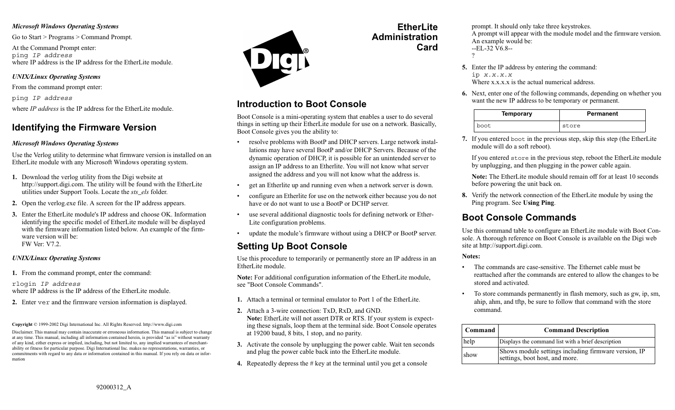#### *Microsoft Windows Operating Systems*

Go to Start > Programs > Command Prompt.

At the Command Prompt enter: ping *IP address* where IP address is the IP address for the EtherLite module.

### *UNIX/Linux Operating Systems*

From the command prompt enter:

ping *IP address* where *IP address* is the IP address for the EtherLite module.

## **Identifying the Firmware Version**

### *Microsoft Windows Operating Systems*

Use the Verlog utility to determine what firmware version is installed on an EtherLite module with any Microsoft Windows operating system.

- **1.** Download the verlog utility from the Digi website at http://support.digi.com. The utility will be found with the EtherLite utilities under Support Tools. Locate the *sts\_els* folder.
- **2.** Open the verlog.exe file. A screen for the IP address appears.
- **3.** Enter the EtherLite module's IP address and choose OK. Information identifying the specific model of EtherLite module will be displayed with the firmware information listed below. An example of the firmware version will be: FW Ver: V7.2.

### *UNIX/Linux Operating Systems*

**1.** From the command prompt, enter the command:

rlogin *IP address* where IP address is the IP address of the EtherLite module.

**2.** Enter ver and the firmware version information is displayed.

**Copyright** © 1999-2002 Digi International Inc. All Rights Reserved. http://www.digi.com

Disclaimer. This manual may contain inaccurate or erroneous information. This manual is subject to change at any time. This manual, including all information contained herein, is provided "as is" without warranty of any kind, either express or implied, including, but not limited to, any implied warrantees of merchantability or fitness for particular purpose. Digi International Inc. makes no representations, warranties, or commitments with regard to any data or information contained in this manual. If you rely on data or information



# **Introduction to Boot Console**

Boot Console is a mini-operating system that enables a user to do several things in setting up their EtherLite module for use on a network. Basically, Boot Console gives you the ability to:

- resolve problems with BootP and DHCP servers. Large network installations may have several BootP and/or DHCP Servers. Because of the dynamic operation of DHCP, it is possible for an unintended server to assign an IP address to an Etherlite. You will not know what server assigned the address and you will not know what the address is.
- get an Etherlite up and running even when a network server is down.
- • configure an Etherlite for use on the network either because you do not have or do not want to use a BootP or DCHP server.
- • use several additional diagnostic tools for defining network or Ether-Lite configuration problems.
- •update the module's firmware without using a DHCP or BootP server.

# **Setting Up Boot Console**

Use this procedure to temporarily or permanently store an IP address in an EtherLite module.

**Note:** For additional configuration information of the EtherLite module, see "Boot Console Commands".

- **1.** Attach a terminal or terminal emulator to Port 1 of the EtherLite.
- **2.** Attach a 3-wire connection: TxD, RxD, and GND. **Note:** EtherLite will not assert DTR or RTS. If your system is expecting these signals, loop them at the terminal side. Boot Console operates at 19200 baud, 8 bits, 1 stop, and no parity.
- **3.** Activate the console by unplugging the power cable. Wait ten seconds and plug the power cable back into the EtherLite module.
- **4.** Repeatedly depress the # key at the terminal until you get a console

prompt. It should only take three keystrokes. A prompt will appear with the module model and the firmware version. An example would be: --EL-32 V6.8--?

- **5.** Enter the IP address by entering the command: ip *x.x.x.x* Where x.x.x.x is the actual numerical address.
- **6.** Next, enter one of the following commands, depending on whether you want the new IP address to be temporary or permanent.

| <b>Temporary</b> | <b>Permanent</b> |
|------------------|------------------|
| boot             | store            |

**7.** If you entered boot in the previous step, skip this step (the EtherLite module will do a soft reboot).

If you entered store in the previous step, reboot the EtherLite module by unplugging, and then plugging in the power cable again.

**Note:** The EtherLite module should remain off for at least 10 seconds before powering the unit back on.

**8.** Verify the network connection of the EtherLite module by using the Ping program. See **Using Ping**.

# **Boot Console Commands**

Use this command table to configure an EtherLite module with Boot Console. A thorough reference on Boot Console is available on the Digi web site at http://support.digi.com.

### **Notes:**

**EtherLite**

**Card**

**Administration**

- The commands are case-sensitive. The Ethernet cable must be reattached after the commands are entered to allow the changes to be stored and activated.
- • To store commands permanently in flash memory, such as gw, ip, sm, ahip, ahm, and tftp, be sure to follow that command with the store command.

| Command | <b>Command Description</b>                                                             |
|---------|----------------------------------------------------------------------------------------|
| help    | Displays the command list with a brief description                                     |
| show    | Shows module settings including firmware version, IP<br>settings, boot host, and more. |